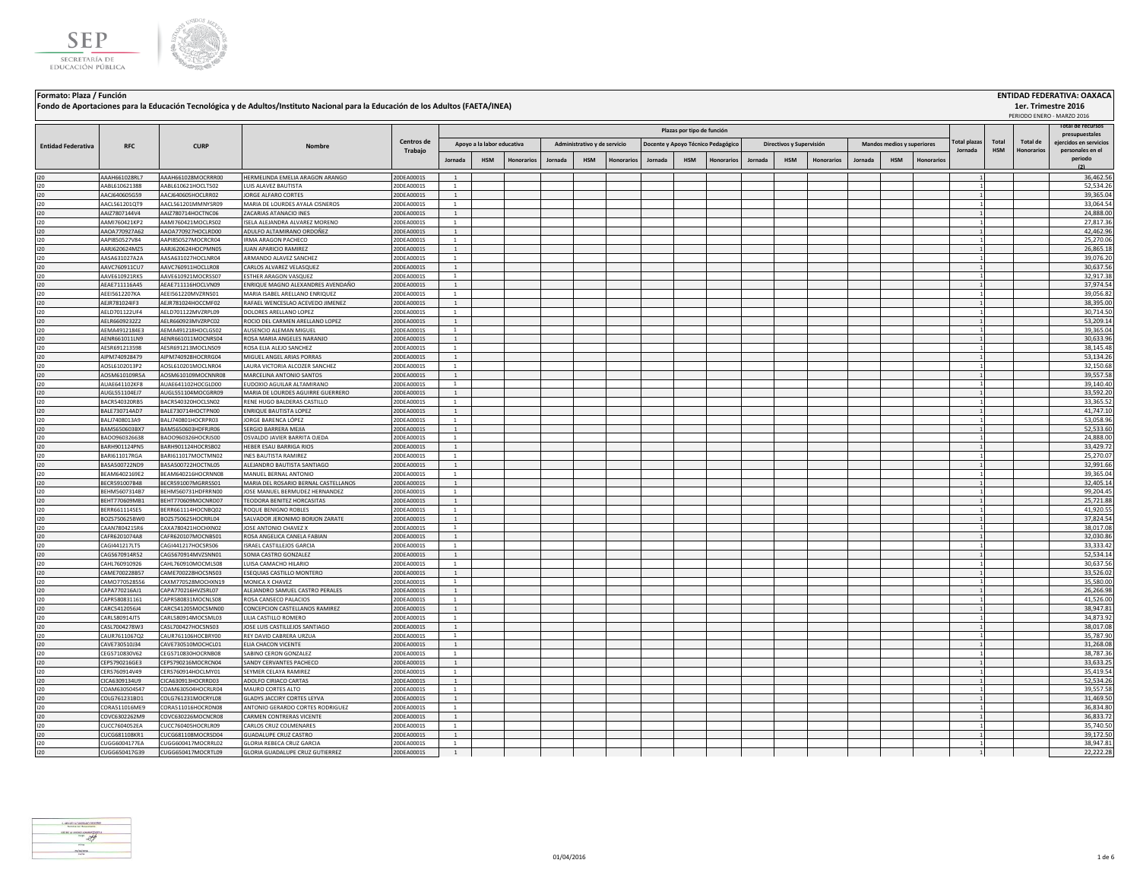



## **Jornada HSM Honorarios Jornada HSM Honorarios Jornada HSM Honorarios Jornada HSM Honorarios Jornada HSM Honorarios** I20 AAAH661028RL7 AAAH661028MOCRRR00 HERMELINDA EMELIA ARAGON ARANGO 20DEA0001S 1 1 36,462.56 I20 AABL610621388 AABL610621HOCLTS02 LUIS ALAVEZ BAUTISTA 20DEA0001S 1 1 52,534.26 I20 AACJ640605G59 AACJ640605HOCLRR02 JORGE ALFARO CORTES 20DEA0001S 1 1 39,365.04 I20 AACL561201QT9 AACL561201MMNYSR09 MARIA DE LOURDES AYALA CISNEROS 20DEA0001S 1 1 33,064.54 I20 AAIZ7807144V4 AAIZ780714HOCTNC06 ZACARIAS ATANACIO INES 20DEA0001S 1 1 24,888.00 I20 AAMI760421KP2 AAMI760421MOCLRS02 ISELA ALEJANDRA ALVAREZ MORENO 20DEA0001S 1 1 27,817.36 I20 AAOA770927A62 AAOA770927HOCLRD00 ADULFO ALTAMIRANO ORDOÑEZ 20DEA0001S 1 1 42,462.96 I20 AAPI850527V84 AAPI850527MOCRCR04 IRMA ARAGON PACHECO 20DEA0001S 1 1 25,270.06 I20 AARJ620624MZ5 AARJ620624HOCPMN05 JUAN APARICIO RAMIREZ 20DEA0001S 1 1 26,865.18 I20 AASA631027A2A AASA631027HOCLNR04 ARMANDO ALAVEZ SANCHEZ 20DEA0001S 1 1 39,076.20 I20 AAVC760911CU7 AAVC760911HOCLLR08 CARLOS ALVAREZ VELASQUEZ 20DEA0001S 1 1 30,637.56 I20 AAVE610921RK5 AAVE610921MOCRSS07 ESTHER ARAGON VASQUEZ 20DEA0001S 1 1 32,917.38 I20 AEAE711116A45 AEAE711116HOCLVN09 ENRIQUE MAGNO ALEXANDRES AVENDAÑO 20DEA0001S 1 1 37,974.54 I20 AEEI5612207KA AEEI561220MVZRNS01 MARIA ISABEL ARELLANO ENRIQUEZ 20DEA0001S 1 1 39,056.82 I20 AEJR781024IF3 AEJR781024HOCCMF02 RAFAEL WENCESLAO ACEVEDO JIMENEZ 20DEA0001S 1 1 38,395.00 I20 AELD701122UF4 AELD701122MVZRPL09 DOLORES ARELLANO LOPEZ 20DEA0001S 1 1 30,714.50 I20 AELR6609232Z2 AELR660923MVZRPC02 |ROCIO DEL CARMEN ARELLANO LOPEZ | | | | | | | | | | | | | | | | | | 53,209.14 I20 AEMA4912184E3 AEMA491218HOCLGS02 AUSENCIO ALEMAN MIGUEL 20DEA0001S 1 | | | | | | | | | | | | | | | | | 39,365.04 I20 AENR661011LN9 AENR661011LN9 AENR661011MOCNRS04 ROSA-MARIA ANGELES NARANJO 20DEA0001S 1 1 3 30,633.96 20DEA0001S 1 3 30,633.96 I20 AESR691213598 AESR691213MOCLNS09 ROSA ELIA ALEJO SANCHEZ 20DEA0001S 1 1 38,145.48 I20 AIPM740928479 AIPM740928HOCRRG04 |MIGUELANGELARIAS PORRAS 20DEA0001S | 1 | | | | | | | | | | | | | | | | 53,134.26 I20 AOSL6102013P2 AOSL610201MOCLNR04 LAURA VICTORIA ALCOZER SANCHEZ 20DEA0001S 1 1 32,150.68 I20 AOSM610109R5A AOSM610109MOCNNR08 MARCELINA ANTONIO SANTOS 20DEA0001S 1 1 1 1 3 39,557.58 20DEA0001S 1 1 3 39,557.58 I20 AUAE641102KF8 AUAE641102HOCGLD00 |EUDOXIO.AGUILAR.ALTAMIRANO 20DEA0001S 1 | | | | | | | | | | | | | | | | | I20 AUGL551104EJ7 AUGL551104MOCGRR09 MARIA DE LOURDES AGUIRRE GUERRERO 20DEA0001S 1 1 33,592.20 I20 BACR540320RB5 BACR540320HOCLSN02 RENE HUGO BALDERAS CASTILLO 20DEA0001S 1 1 33,365.52 I20 BALE730714AD7 BALE730714HOCTPN00 ENRIQUE BAUTISTA LOPEZ 20DEA0001S 1 1 41,747.10 I20 BALJ7408013A9 BALJ740801HOCRPR03 JORGE BARENCA LÓPEZ 20DEA0001S 1 1 53,058.96 I20 BAMS650603BX7 BAMS650603HDFRJR06 SERGIO BARRERA MEJIA 20DEA0001S 1 1 52,533.60 I20 BAOO960326638 BAOO960326HOCRJS00 OSVALDO JAVIER BARRITA OJEDA 20DEA0001S 1 1 24,888.00 I20 BARH901124PN5 BARH901124HOCRSB02 HEBER.ESAUBARRIGA RIOS 20DEA0001S 1 2 33,429.72 33,429.72 33,429.72 33,429.72 I20 BARI611017RGA BARI611017MOCTMN02 |INES BAUTISTA RAMIREZ 20DEA0001S | 1 | | | | | | | | | | | | | | | | 25,270.07 I20 BASA500722ND9 BASA500722HOCTNL05 ALEJANDRO BAUTISTA SANTIAGO 20DEA0001S 1 1 1 3 32,991.66 I20 BEAM6402169E2 BEAM640216HOCRNN08 MANUEL BERNAL ANTONIO 20DEA0001S 1 1 3 39,365.04 39,365.04 39,365.04 39,365.04 I20 BECR591007B48 BECR591007MGRRSS01 MARIA DEL ROSARIO BERNAL CASTELLANOS 20DEA0001S 1 1 32,405.14 I20 BEHM5607314B7 BEHM560731HDFRRN00 JOSE MANUEL BERMUDEZ HERNANDEZ 20DEA0001S 1 | | | | | | | | | | | | | | | | | 99,204.45 I20 BEHT770609MB1 BEHT770609MOCNRD07 TEODORA BENITEZ HORCASITAS 20DEA0001S 1 1 25,721.88 I20 BERR661114SE5 BERR661114HOCNBQ02 |ROQUEBENIGNO.ROBLES 20DEA0001S 1 | | | | | | | | | | | | | | | 1| | 1 I20 BOZS750625BW0 BOZS750625HOCRRL04 SALVADOR JERONIMO BORJON ZARATE 20DEA0001S 1 1 37,824.54 I20 CAAN7804215R6 CAXA780421HOCHXN02 JJOSE ANTONIO CHAVEZ X 20DEA0001S 1 1 3 36,017.08 38,017.08 I20 CAFR6201074A8 CAFR620107MOCNBS01 ROSA ANGELICA CANELA FABIAN 20DEA0001S 1 | | | | | | | | | | | | | | | | | I20 CAGI441217LT5 CAGI441217HOCSRS06 ISRAEL CASTILLEJOS GARCIA 20DEA0001S 1 1 33,333.42 I20 CAGS670914R52 CAGS670914MVZSNN01 SONIA CASTRO GONZALEZ 20DEA0001S 1 1 52,534.14 I20 CAHL760910926 CAHL760910MOCMLS08 LUISA CAMACHO HILARIO 20DEA0001S 1 | | | | | | | | | | | | | | | | | 30,537.56 I20 CAME700228B57 CAME700228HOCSNS03 ESEQUIAS CASTILLO MONTERO 20DEA0001S 1 1 1 3 33,526.02 . 20DEA0001S 1 2 33,526.02 I20 CAMO770528556 CAXM770528MOCHXN19 MONICA X CHAVEZ 20DEA0001S 1 1 35,580.00 I20 CAPA770216AJ1 CAPA770216HVZSRL07 ALEJANDRO SAMUEL CASTRO PERALES 20DEA0001S 1 1 26,266.98 I20 CAPR580831161 CAPR580831MOCNLS08 ROSA CANSECO PALACIOS 20DEA0001S 1 1 41,526.00 I20 CARC5412056J4 CARC541205MOCSMN00 CONCEPCION CASTELLANOS RAMIREZ 20DEA0001S 1 2 39,947.81 2 39,947.81 39,947.81 I20 CARL580914JT5 CARL580914MOCSML03 LILIACASTILLO ROMERO 2000-AO001S 1 | | | | | | | | | | | | | | | | | 34,873.92 I20 CASL7004278W3 CASL700427HOCSNS03 JOSE LUIS CASTILLEJOS SANTIAGO 20DEA0001S 1 1 38,017.08 I20 CAUR7611067Q2 CAUR761106HOCBRY00 REY DAVID CABRERA URZUA 2006 20DEA0001S 1 2 35,787.90 20DEA0001S 20DEA0001S 20DEA0001S 20DEA00015 20DEA00015 20DEA00015 20DEA00015 20DEA00015 20DEA00015 20DEA00015 20DEA00015 20DEA00015 I20 CAVE730510J34 CAVE730510MOCHCL01 ELIA CHACON VICENTE 20DEA0001S 1 1 31,268.08 I20 CEGS710830V62 CEGS710830HOCRNB08 SABINO CERON GONZALEZ 20DEA0001S 1 1 38,787.36 I20 CEPS790216GE3 CEPS790216MOCRCN04 SANDY CERVANTES PACHECO 20DEA0001S 1 1 33,633.25 I20 CERS760914V49 CERS760914HOCLMY01 SEYMERCELAYA RAMIREZ 20DEA0001S 1 | | | | | | | | | | | | | | | | | 35,419.54 I20 CICA6309134U9 CICA630913HOCRRD03 ADOLFO CIRIACO CARTAS 20DEA0001S 1 1 52,534.26 I20 COAM630504S47 COAM630504HOCRLR04 MAURO CORTES ALTO 20DEA0001S 1 1 1 3 39,557.58 I20 COLG761231BD1 COLG761231MOCRYL08 GLADYSJACCIRY CORTES LEYVA 20DEA0001S 1 1 1 1 1 1 1 1 1 1 1 31,469.50 I20 CORA511016ME9 CORA511016HOCRDN08 ANTONIO GERARDO CORTES RODRIGUEZ 20DEA0001S 1 1 1 1 3 36,834.80 20DEA0001S 20DEA0001S 20DEA0001S 20DEA0001S 20DEA0001S 20DEA00015 20DEA00015 20DEA00015 20DEA00015 20DEA00015 20DEA00015 I20 COVC6302262M9 COVC6302262M9 COVC6302262MOCNCR08 CARMEN CONTRERAS VICENTE 20DEA0001S 1 2 36,833.72 I20 CUCC7604052EA CUCC760405HOCRLR09 CARLOS CRUZ COLMENARES 20DEA0001S 1 1 1 1 1 3 35,740.50 NO. 20DEA0001S 20 I20 CUCG681108KR1 CUCG681108MOCRSD04 GUADALUPE CRUZ CASTRO 20DEA0001S 1 1 39,172.50 I20 CUGG6004177EA CUGG600417MOCRRL02 GLORIA REBECA CRUZ GARCIA 20DEA0001S 1 | | | | | | | | | | | | | | | | | 38,947.81 I20 CUGG650417G39 CUGG650417MOCRTL09 GLORIAGUADALUPE CRUZ GUTIERREZ 20DEA0001S 1 1 2 21, 22,222.28 29 22,222.28 **Total HSM Total de Honorarios Administrativo y de servicio Docente y Apoyo Técnico Pedagógico Directivos y Supervisión Mandos medios y superiores Plazas por tipo de función Total plazas Jornada** PERIODO ENERO - MARZO 2016 **RFC CURP Nombre Entidad Federativa RFC CURP CURP CENTROS <b>CENTROS CONS Trabajo Total de recursos presupuestales ejercidos en servicios personales en el periodo (2) Apoyo a la labor educativa**



**Formato: Plaza / Función ENTIDAD FEDERATIVA: OAXACA**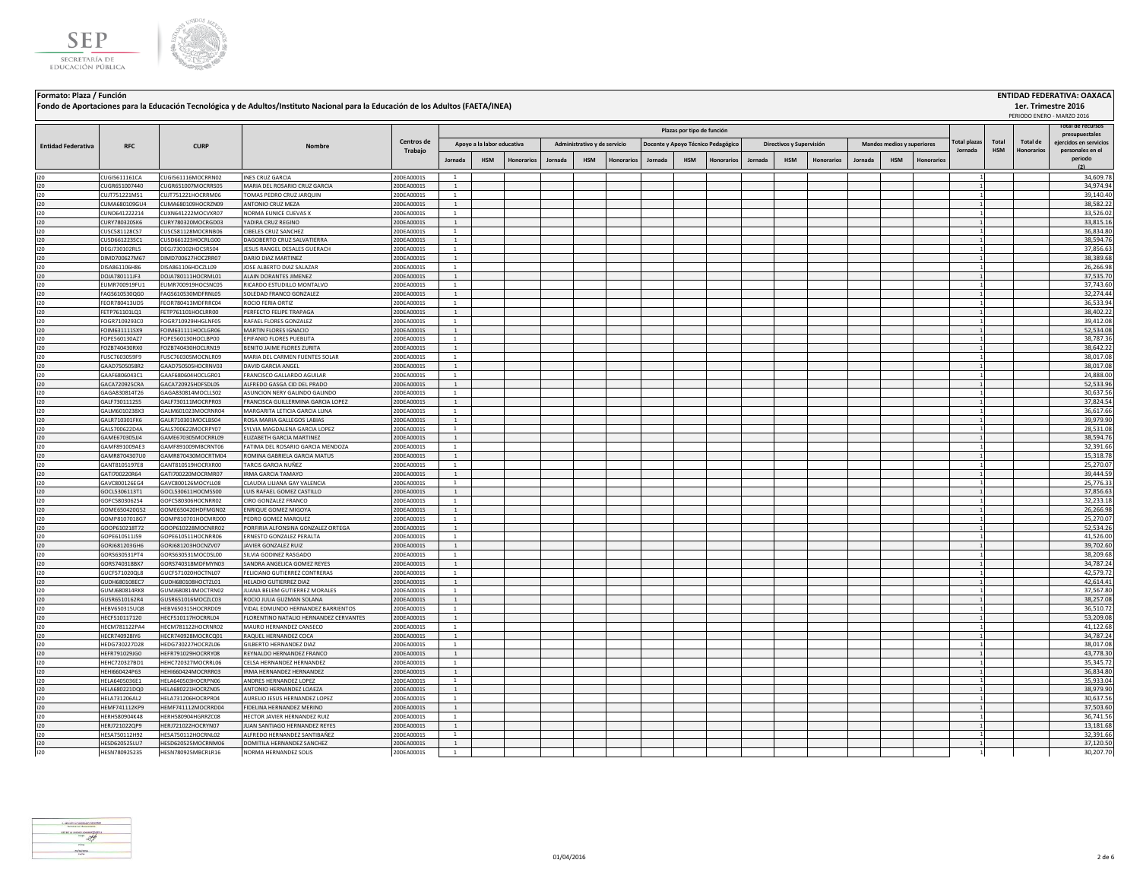



**Formato: Plaza / Función ENTIDAD FEDERATIVA: OAXACA**

**Fondo de Aportaciones para la Educación Tecnológica y de Adultos/Instituto Nacional para la Educación de los Adultos (FAETA/INEA)**

## **Jornada HSM Honorarios Jornada HSM Honorarios Jornada HSM Honorarios Jornada HSM Honorarios Jornada HSM Honorarios Total HSM Total de Honorarios Administrativo y de servicio Docente y Apoyo Técnico Pedagógico Directivos y Supervisión Mandos medios y superiores Plazas por tipo de función Total plazas Jornada** PERIODO ENERO - MARZO 2016 **RFC CURP Nombre Entidad Federativa RFC CURP CURP CENTROS <b>CENTROS CONS Trabajo Total de recursos presupuestales ejercidos en servicios personales en el periodo (2) Apoyo a la labor educativa** I20 CUGI5611161CA CUGI561116MOCRRN02 INES CRUZ GARCIA 20DEA0001S 1 1 34,609.78 I20 CUGR651007440 CUGR651007MOCRRS05 MARIA DEL ROSARIO CRUZ GARCIA 20DEA0001S 1 1 34,974.94 I20 CUJT751221MS1 CUJT751221HOCRRM06 TOMAS PEDRO CRUZ JARQUIN 20DEA0001S 1 1 39,140.40 I20 CUMA680109GU4 CUMA680109HOCRZN09 ANTONIO CRUZ MEZA 20DEA0001S 1 1 38,582.22 I20 CUNO641222214 CUXN641222MOCVXR07 NORMA EUNICE CUEVAS X 20DEA0001S 1 1 33,526.02 I20 CURY780320SK6 CURY780320MOCRGD03 YADIRA CRUZ REGINO 20DEA0001S 1 1 33,815.16 I20 CUSC581128CS7 CUSC581128MOCRNB06 CIBELES CRUZ SANCHEZ 20DEA0001S 1 2 36,834.80 20DEA0001S 1 2 36,834.80 20 I20 CUSD661223SC1 CUSD661223HOCRLG00 DAGOBERTO CRUZ SALVATIERRA 20DEA0001S 1 1 38,594.76 I20 DEGI730102RL5 DEGJ730102HOCSRS04 JESUS RANGEL DESALES GUERACH 20DEA0001S 1 1 1 1 3 37,856.63 37,856.63 JESUS RANGEL DESALES GUERACH 20DEA0001S 1 1 1 1 37,856.63 I20 DIMD700627M67 DIMD700627HOCZRR07 DARIO DIAZ MARTINEZ 20DEA0001S 1 1 38,389.68 I20 DISA861106H86 DISA861106HOCZLL09 JOSE ALBERTO DIAZ SALAZAR 20DEA0001S 1 1 26,266.98 I20 DOJA780111JF3 DOJA780111HOCRML01 ALAIN DORANTES JIMENEZ 20DEA0001S 1 1 37,535.70 I20 EUMR700919FU1 EUMR700919HOCSNC05 RICARDO&ESTUDILLO MONTALVO 20DEA0001S 1 | | | | | | | | | | | | | | | | | I20 FAGS610530QG0 FAGS610530MDFRNL05 SOLEDADFRANCO GONZALEZ 20DEA0001S 1 2 30.274.44 20DEA0001S 20DEA0001S 20DEA0001S 20DEA0001S 20DEA0001S 20DEA0001S 20DEA00015 20DEA00015 20DEA00015 20.2774.44 20 200274.44 I20 FEOR780413UD5 FEOR780413MDFRRC04 ROCIO FERIA ORTIZ 20DEA0001S 1 | | | | | | | | | | | | | | | 1 | 36,533.94 I20 FETP761101LQ1 FETP761101HOCLRR00 PERFECTO FELIPE TRAPAGA 200EA0001S 1 2 38,402.22 I20 FOGR7109293C0 FOGR710929HHGLNF05 RAFAEL FLORES GONZALEZ 20DEA0001S 1 | | | | | | | | | | | | | | | | | 39,412.08 I20 FOIM631111SX9 FOIM631111HOCLGR06 |MARTIN FLORES IGNACIO 20DEA0001S | 1 | | | | | | | | | | | | | | | | 52,534.08 I20 FOPE560130AZ7 FOPE560130HOCLBP00 [EPIFANIO FLORES PUEBLITA 20DEA0001S ] 20DEA0001S ] 20DEA0001S ] 20DEA0001S ] 20DEA0001S ] 20DEA0001S ] 20DEA00015 ] 20DEA00015 ] 2000EA00015 ] 2000EA00015 ] 2000EA00015 [ 20] ] [ ] ] [ I20 FOZB740430RX0 FOZB740430HOCLRN19 BENITOJAIME FLORES ZURITA 20DEA0001S 1 1 3 30.642.22 . 20DEA0001S 20DEA0001S 20DEA0001S 20DEA0001S 20DEA0001 20DEA0001 20DEA0001 20DEA0001 20DEA0001 20DEA0001 20DEA0001 20DEA0001 20DEA0 I20 FUSC7603059F9 FUSC760305MOCNLR09 MARIA DEL CARMEN FUENTES SOLAR 20DEA0001S 1 1 38,017.08 I20 GAAD7505058R2 GAAD750505HOCRNV03 DAVID GARCIA ANGEL 20DEA0001S 1 2 3000 3 3000 3 20DEA0001S 20DEA0001S 20DEA0001S 20DEA0001S 20DEA0001S 20DEA00015 20DEA00015 20DEA00015 20DEA00015 20DEA00015 20DEA00015 20DEA00015 20DEA I20 GAAF6806043C1 GAAF680604HOCLGR01 FRANCISCO GALLARDO AGUILAR 24,888.00 20DEA0001S 1 1 1 1 24,989.00 20 24,888.00 20 24,888.00 20 24,888.00 20 24,888.00 20 24,888.00 20 24,888.00 20 24,888.00 20 24,888.00 20 24,888.00 20 I20 GACA720925CRA GACA720925HDFSDL05 ALFREDO GASGA CID DEL PRADO 20DEA0001S 1 1 52,533.96 I20 GAGA830814T26 GAGA830814MOCLLS02 ASUNCION NERY GALINDO GALINDO 20DEA0001S 1 1 30,637.56 I20 GALF7301112S5 GALF730111MOCRPR03 FRANCISCA GUILLERMINA GARCIALOPEZ 20DEA0001S 20DEA0001S 2 1 3 37,824.54 37,824.54 I20 GALM6010238X3 GALM601023MOCRNR04 MARGARITALETICIA GARCIA LUNA 20DEA0001S 1 | | | | | | | | | | | | | | | | | 36,617.66 I20 GALR710301FK6 GALR710301MOCLBS04 ROSAMARIA GALLEGOS LABIAS 20DEA0001S 1 | | | | | | | | | | | | | | | | | 39,979.90 I20 GALS700622D4A GALS700622D4A GALS700622D4OCRPY07 SYLVIA.MAGDALENA GARCIA LOPEZ 20DEA0001S 1 2 2000 2000 200 I20 GAME670305JJ4 GAME670305MOCRRL09 ELIZABETH GARCIA MARTINEZ 20DEA0001S 1 1 38,594.76 I20 GAMF891009AE3 GAMF891009MBCRNT06 FATIMA DEL ROSARIO GARCIA MENDOZA 20DEA0001S 1 1 32,391.66 I20 GAMR8704307U0 GAMR870430MOCRTM04 ROMINA GABRIELA GARCIA MATUS 20DEA0001S 1 1 1 1 1 1 1 1 1 1 1 1 1 1 1 1 1 I20 GANT8105197E8 GANT810519HOCRXR00 TARCIS GARCIA NUÑEZ 20DEA0001S 1 1 25,270.07 I20 GATI700220R64 GATI700220MOCRMR07 IRMA GARCIA TAMAYO 20DEA0001S 1 1 39,444.59 I20 GAVC800126EG4 GAVC800126MOCYLL08 CLAUDIA LILIANA GAY VALENCIA 20DEA0001S 1 | | | | | | | | | | | | | | | | | 25,776.33 I20 GOCL5306113T1 GOCL530611HOCMSS00 LUIS RAFAEL GOMEZ CASTILLO 20DEA0001S 1 1 37,856.63 I20 GOFC5803062S4 GOFC580306HOCNRR02 CIRO GONZALEZ FRANCO 20DEA0001S 1 1 32,233.18 I20 GOME650420G52 GOME650420HDFMGN02 ENRIQUE GOMEZ MIGOYA 20DEA0001S 1 2 20DEA0001S 1 2 20DEA0001S 20DEA0001S 20DEA0001S 20DEA0001S 20DEA00015 20DEA00015 20DEA00015 20DEA00015 20DEA00015 20DEA00015 20DEA00015 20DEA00015 20 I20 GOMP8107018G7 GOMP810701HOCMRD00 PEDRO GOMEZ MARQUEZ 20DEA0001S 1 1 25,270.07 I20 GOOP610218T72 GOOP610228MOCNRR02 PORFIRIA ALFONSINA GONZALEZ ORTEGA 20DEA0001S 1 1 52,534.26 I20 GOPE610511J59 GOPE610511HOCNRR06 ERNESTO GONZALEZ PERALTA 20DEA0001S 1 1 41,526.00 I20 GORJ681203GH6 GORJ681203HOCNZV07 JAVIER GONZALEZ RUIZ 20DEA0001S 1 | | | | | | | | | | | | | | | | | 39,702.60 I20 GORS630531PT4 GORS630531MOCDSL00 SILVIA GODINEZ RASGADO 20DEA0001S 1 1 38,209.68 I20 GORS740318BX7 GORS740318MDFMYN03 SANDRA ANGELICA GOMEZ REYES 20DEA0001S 1 1 1 3 34,787.24 I20 GUCF571020QL8 GUCF571020HOCTNL07 FELICIANO GUTIERREZ CONTRERAS 200EA0001S 1 | | | | | | | | | | | | | | | | I20 GUDH680108EC7 GUDH680108HOCTZL01 HELADIO GUTIERREZ DIAZ 20DEA0001S 1 1 42,614.41 I20 GUMJ680814RK8 GUMJ680814MOCTRN02 JUANA BELEM GUTIERREZ MORALES 20DEA0001S 1 1 37,567.80 I20 GUSR6510162R4 GUSR651016MOCZLC03 ROCIO JULIA GUZMAN SOLANA 200EA0001S 1 1 3 38,257.08 20DEA0001S 20DEA0001S 20DEA0001S 38,257.08 I20 HEBV650315UQ8 HEBV650315HOCRRD09 VIDAL EDMUNDO HERNANDEZ BARRIENTOS 20DEA0001S 1 1 36,510.72 I20 HECF510117120 HECF510117HOCRRL04 FLORENTINO NATALIO HERNANDEZ CERVANTES 20DEA0001S 1 1 1 3 33,209.08 5 3 . I20 HECM781122PA4 HECM781122HOCRNR02 MAURO HERNANDEZ CANSECO 20DEA0001S 1 1 41,122.68 I20 HECR740928IY6 HECR740928MOCRCQ01 RAQUELHERNANDEZ COCA 20DEA0001S 1 2 30 3000 200 200 200 200 34,787.24 I20 HEDG730227D28 HEDG730227HOCRZL06 GILBERTO HERNANDEZ DIAZ 20DEA0001S 1 1 38,017.08 I20 HEFR791029JG0 HEFR791029HOCRRY08 REYNALDO HERNANDEZ FRANCO 20DEA0001S 1 1 43,778.30 I20 HEHC720327BD1 HEHC720327MOCRRL06 CELSA HERNANDEZ 20DEA0001S 1 | | | | | | | | | | | | | | | 1 | 35,345.72 I20 HEHI660424P63 HEHI660424MOCRRR03 |IRMA HERNANDEZ | |20DEA0001S | 1 | | | | | | | | | | | | | | | | 36,834.80 I20 HELA6405036E1 HELA640503HOCRPN06 ANDRES HERNANDEZ LOPEZ 2000 2002 2000EA0001S 20DEA0001S 20 2000EA0001S 20 I20 HELA680221DQ0 HELA680221HOCRZN05 |ANTONIO HERNANDEZ LOAEZA 20DEA0001S | 1 | | | | | | | | | | | | | | | | 38,979.90 I20 HELA731206AL2 HELA731206HOCRPR04 AURELIO.IESUS HERNANDEZ LOPEZ 20DEA0001S 1 | | | | | | | | | | | | | | | | 30,637.56 I20 HEMF741112KP9 HEMF741112MOCRRD04 FIDELINA HERNANDEZ MERINO 20DEA0001S 1 1 37,503.60 I20 HERH580904K48 HERH580904K48 HERH580904KGRRZC08 HECTOR JAVIER HERNANDEZ RUIZ 20DEA0001S 1 1 1 36,741.56 . 20DEA0001S 1 3 . 20DEA0001S 1 3 . 36,741.56 I20 HERJ721022QP9 HERJ721022HOCRYN07 JUAN SANTIAGO HERNANDEZ REYES 20DEA0001S 1 1 13,181.68 I20 HESA750112H92 HESA750112HOCRNL02 ALFREDO HERNANDEZ SANTIBAÑEZ 20DEA0001S 1 1 32,391.66 I20 HESD620525LU7 HESD620525MOCRNM06 DOMITILA HERNANDEZ SANCHEZ 20DEA0001S 1 2 37,120.50 20DEA0001S 20 37,120.50 I20 HESN780925235 HESN780925MBCRLR16 NORMA HERNANDEZ SOLIS 20DEA0001S 1 1 30,207.70

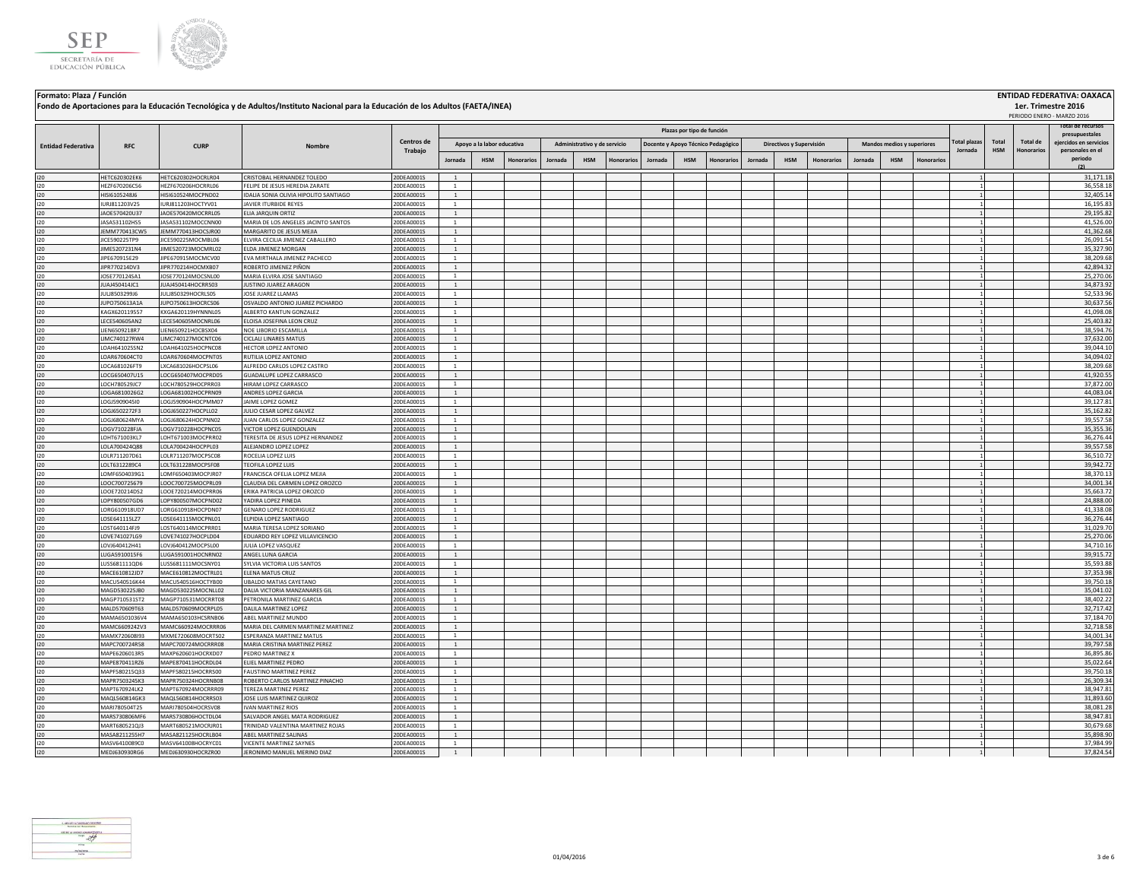



## **Jornada HSM Honorarios Jornada HSM Honorarios Jornada HSM Honorarios Jornada HSM Honorarios Jornada HSM Honorarios Total HSM Total de Honorarios Administrativo y de servicio Docente y Apoyo Técnico Pedagógico Directivos y Supervisión Mandos medios y superiores Plazas por tipo de función Total plazas Jornada** PERIODO ENERO - MARZO 2016 **RFC CURP Nombre Entidad Federativa RFC CURP CURP CENTROS <b>CENTROS CONS Trabajo Total de recursos presupuestales ejercidos en servicios personales en el periodo (2) Apoyo a la labor educativa** I20 HETC620302EK6 HETC620302EK6 HETC620302HOCRLR04 CRISTOBAL HERNANDEZ TOLEDO 20DEA0001S 1 1 1 31,171.18 I20 HEZF670206C56 HEZF670206HOCRRL06 FELIPE DE JESUS HEREDIA ZARATE 20DEA0001S 1 | | | | | | | | | | | | | | | | 36,558.18 I20 HISI6105248J6 HISI610524MOCPND02 IDALIA SONIA OLIVIA HIPOLITO SANTIAGO 20DEA0001S 1 1 32,405.14 I20 |URJ811203V25 |URJ811203HOCTYV01 |JAVIERTURBIDE REYES 20DEA0001S | 1 | | | | | | | | | | | | | | | | 16,195.83 I20 JAOE570420U37 JAOE570420MOCRRL05 ELIA JARQUIN ORTIZ 20DEA0001S 1 1 29,195.82 I20 JASA531102HS5 JASA531102MOCCNN00 MARIA DE LOS ANGELES JACINTO SANTOS 20DEA0001S 1 1 41,526.00 I20 JEMM770413CW5 JEMM770413HOCSJR00 MARGARITO DE JESUS MEJIA 20DEA0001S 1 1 41,362.68 I20 JICE590225TP9 JICE590225MOCMBL06 [ELVIRA CECILIA JIMENEZ CABALLERO 20DEA0001S 1 | | | | | | | | | | | | | | | | | 26,091.54 I20 JIME5207231N4 JIME520723MOCMRL02 ELDAJIMENEZMORGAN 20DEA0001S 1 1 3 35,327.90 20DEA0001S 20DEA0001S 1 3 35,327.90 I20 JIPE670915E29 JIPE670915MOCMCV00 EVA MIRTHALA JIMENEZ PACHECO 20DEA0001S 1 1 38,209.68 I20 JIPR770214DV3 JIPR770214HOCMXB07 ROBERTO JIMENEZ PIÑON 20DEA0001S 1 1 42,894.32 I20 JOSE770124SA1 JOSE770124MOCSNL00 MARIA ELVIRA JOSE SANTIAGO 20DEA0001S 1 1 25,270.06 I20 JUAJ450414JC1 JUAJ450414HOCRRS03 JUSTINOJUAREZ ARAGON 20DEA0001S 1 2 34,873.92 33 34,873.92 20DEA0001S 20DEA0001S 20DEA0001S 20DEA0001S 20DEA0001 20DEA0001 20DEA0001 20DEA0001 20DEA0001 20DEA0001 20DEA0001 20 2 20 20 2 I20 JULI8503299J6 JULI8503299J6 JULI850329HOCRLS05 JOSE JUAREZ LLAMAS 20DEA0001S 1 | | | | | | | | | | | | | | | | | I20 JUPO750613A1A JUPO750613HOCRCS06 OSVALDO ANTONIO JUAREZ PICHARDO 20DEA0001S 1 1 30,637.56 I20 KAGX620119557 KXGA620119HYNNNL05 ALBERTO KANTUN GONZALEZ 20DEA0001S 1 1 41,098.08 I20 LECE540605AN2 LECE540605MOCNRL06 ELOISA JOSEFINA LEON CRUZ 20DEA0001S 1 1 25,403.82 I2D LIEN6509218R7 LIEN650921HOCBSX04 NOE LIBORIO ESCAMILLA 20DEA0001S 1 | | | | | | | | | | | | | | | | | 38,594.76 I20 LIMC740127RW4 LIMC740127MOCNTC06 CICLALI LINARES MATUS 20DEA0001S 1 2 37,632.00 20DEA0001S 1 3 37,632.00 20 I20 LOAH641025SN2 LOAH641025HOCPNC08 HECTOR LOPEZ ANTONIO 20DEA0001S 1 1 1 1 1 1 1 1 1 1 1 1 1 1 39,044.10 39,044.10 I20 |LOAR670604CT0 |LOAR670604CT0 |RUTILIALOPEZANTONIO | 20DEA0001S | 1 | | | | | | | | | | | | | | | | 34,094.02 I20 LOCA681026FT9 LXCA681026HOCPSL06 ALFREDO CARLOS LOPEZ CASTRO 20DEA0001S 1 1 38,209.68 I20 LOCG650407U15 LOCG650407MOCPRD05 GUADALUPE LOPEZ CARRASCO 20DEA0001S 1 1 41,920.55 I20 LOCH780529JC7 LOCH780529HOCPRR03 HIRAM LOPEZ CARRASCO 20DEA0001S 1 1 37,872.00 I20 LOGA6810026G2 LOGA681002HOCPRN09 ANDRES LOPEZ GARCIA 20DEA0001S 1 1 44,083.04 I20 LOGJ5909045I0 LOGJ590904HOCPMM07 JAIME LOPEZ GOMEZ 200EA0001S 1 1 1 1 3 39,127.81 39,127.81 39,127.81 39,127.81 I20 LOGJ6502272F3 LOGJ650227HOCPLL02 JULIO CESAR LOPEZ GALVEZ 20DEA0001S 1 1 35,162.82 I20 LOGJ680624MYA LOGJ680624HOCPNN02 JUAN CARLOS LOPEZ GONZALEZ 20DEA0001S 1 1 39,557.58 I20 LOGV710228FJA LOGV710228HOCPNC05 VICTOR LOPEZ GUENDOLAIN 20DEA0001S 1 1 35,355.36 I20 LOHT671003KL7 LOHT671003MOCPRR02 TERESITA DE JESUS LOPEZ HERNANDEZ 20DEA0001S 1 1 36,276.44 I20 **LOLA700424Q88 LOLA700424HOCPPL03 ALEJANDRO LOPEZ 20**PEZ 20DEA0001S 1 | | | | | | | | | | | | | | | | | 39,557.58 I20 |LOLR711207D61 LOLR711207MOCPSC08 |ROCELIALOPEZLUIS | 20DEA0001S | 1 | | | | | | | | | | | | | | | | 36,510.72 I20 LOLT6312289C4 LOLT631228MOCPSF08 TEOFILA LOPEZ LUIS 20DEA0001S 1 1 39,942.72 I20 LOMF6504039G1 LOMF650403MOCPJR07 FRANCISCA OFELIA LOPEZ MEJIA 20DEA0001S 1 1 38,370.13 I20 LOOC700725679 LOOC700725MOCPRL09 CLAUDIA DEL CARMEN LOPEZ OROZCO 20DEA0001S 1 1 34,001.34 I20 LOOE720214DS2 LOOE720214MOCPRR06 ERIKA PATRICIA LOPEZ OROZCO 20DEA0001S 1 1 35,663.72 I20 LOPY800507GD6 LOPY800507MOCPND02 YADIRA LOPEZ PINEDA 20DEA0001S 1 1 24,888.00 I20 LORG610918UD7 LORG610918HOCPDN07 GENARO LOPEZ RODRIGUEZ 20DEA0001S 1 1 41,338.08 I20 |LOSE641115LZ7 LOSE641115MOCPNL01 |ELPIDIALOPEZ SANTIAGO | 20DEA0001S | 1 | | | | | | | | | | | | | | | 36,276.44 I20 LOST640114FJ9 LOST640114MOCPRR01 MARIA TERESA LOPEZ SORIANO 20DEA0001S 1 1 31,029.70 I20 LOVE741027LG9 LOVE741027HOCPLD04 [EDUARDO REY LOPEZ VILLAVICENCIO 20DEA0001S 1 1 1 2 200 200 200 200 200 2 I20 LOVJ640412H41 LOVJ640412MOCPSL00 JULIA LOPEZ VASQUEZ 20DEA0001S 1 1 34,710.16 I20 LUGA5910015F6 LUGA591001HOCNRN02 ANGEL LUNA GARCIA 20DEA0001S 1 1 39,915.72 I20 LUSS681111QD6 LUSS681111MOCSNY01 SYLVIA.VICTORIA.LUIS SANTOS 20DEA0001S 1 | | | | | | | | | | | | | | | | 35,593.88 I20 MACE610812JD7 MACE610812MOCTRL01 ELENA MATUS CRUZ 20DEA0001S 1 1 37,353.98 I20 MACU540516K44 MACU540516HOCTYB00 UBALDO MATIAS CAYETANO 20DEA0001S 20DEA0001S 1 2 39,750.18 20DEA0001S 20DEA0001S 20DEA0001 20DEA00015 20DEA00015 20DEA00015 20DEA00015 20DEA00015 20DEA00015 20DEA00015 20DEA00016 2012 2 I20 MAGD530225JB0 MAGD530225MOCNLL02 DALIA VICTORIA MANZANARES GIL 20DEA0001S 1 1 35,041.02 I20 MAGP710531ST2 MAGP710531MOCRRT08 PETRONILA MARTINEZ GARCIA 20DEA0001S 1 1 3 38,402.22 38,402.22 38,402.22 38,402.22 I20 MALD570609T63 MALD570609MOCRPL05 DALILAMARTINEZLOPEZ 20DEA0001S 1 2 30.00 3 32,717.42 32,717.42 32,717.42 I20 MAMA6501036V4 MAMA650103HCSRNB06 ABEL MARTINEZ MUNDO 20DEA0001S 1 1 37,184.70 I20 MAMC6609242V3 MAMC660924MOCRRR06 MARIA DEL CARMEN MARTINEZ MARTINEZ 20DEA0001S 1 1 32,718.58 I20 MAMX720608I93 MXME720608I93 MXME720608MOCRTS02 ESPERANZA MARTINEZ MATUS 120DEA0001S 1 1 1 1 3 34,001.34 ... I20 MAPC700724R58 MAPC700724MOCRRR08 MARIA CRISTINA MARTINEZ PEREZ 20DEA0001S 1 1 39,797.58 I20 MAPE6206013R5 MAXP620601HOCRXD07 PEDRO MARTINEZ X 20DEA0001S 1 1 36,895.86 I20 MAPE870411RZ6 MAPE870411HOCRDL04 ELIELMARTINEZ PEDRO 2000 2000EA0001S 1 2 35,022.64 I20 MAPF580215Q33 MAPF580215HOCRRS00 FAUSTINO MARTINEZ PEREZ 20DEA0001S 1 1 39,750.18 I20 MAPR7503245K3 MAPR750324HOCRNB08 ROBERTO CARLOS MARTINEZ PINACHO 20DEA0001S 1 1 1 1 2 26,309.34 PH 2 26,309.34 I20 MAPT670924LK2 MAPT670924LK2 MAPT670924MOCRRR09 TEREZA MARTINEZ PEREZ 20DEA0001S 1 2 3000001S 1 3 38,947.81 I20 MAQL560814GK3 MAQL560814HOCRRS03 JOSE LUIS MARTINEZ QUIROZ 20DEA0001S 1 1 31,893.60 I20 MARI780504T25 MARI780504HOCRSV08 |IVAN MARTINEZ RIOS 20DEA0001S 1 | | | | | | | | | | | | | | | | 1 | 38,081.28 I20 MARS730806MF6 MARS730806HOCTDL04 SALVADOR.ANGEL.MATA.RODRIGUEZ 20DEA0001S 1 2 30.947.81 3 38,947.81 38,947.81 38,947.81 I20 MART680521QJ3 MART680521MOCRJR01 TRINIDAD VALENTINA MARTINEZ ROJAS 20DEA0001S 1 1 30,679.68 I20 MASA8211255H7 MASA821125HOCRLB04 ABEL MARTINEZ SALINAS 20DEA0001S 1 1 35,898.90 I20 MASV6410089C0 MASV641008HOCRYC01 VICENTE MARTINEZ SAYNES 20DEA0001S 1 1 37,984.99 I20 MEDJ630930RG6 MEDJ630930HOCRZR00 JERONIMO MANUEL MERINO DIAZ 20DEA0001S 1 1 37,824.54



**Formato: Plaza / Función ENTIDAD FEDERATIVA: OAXACA**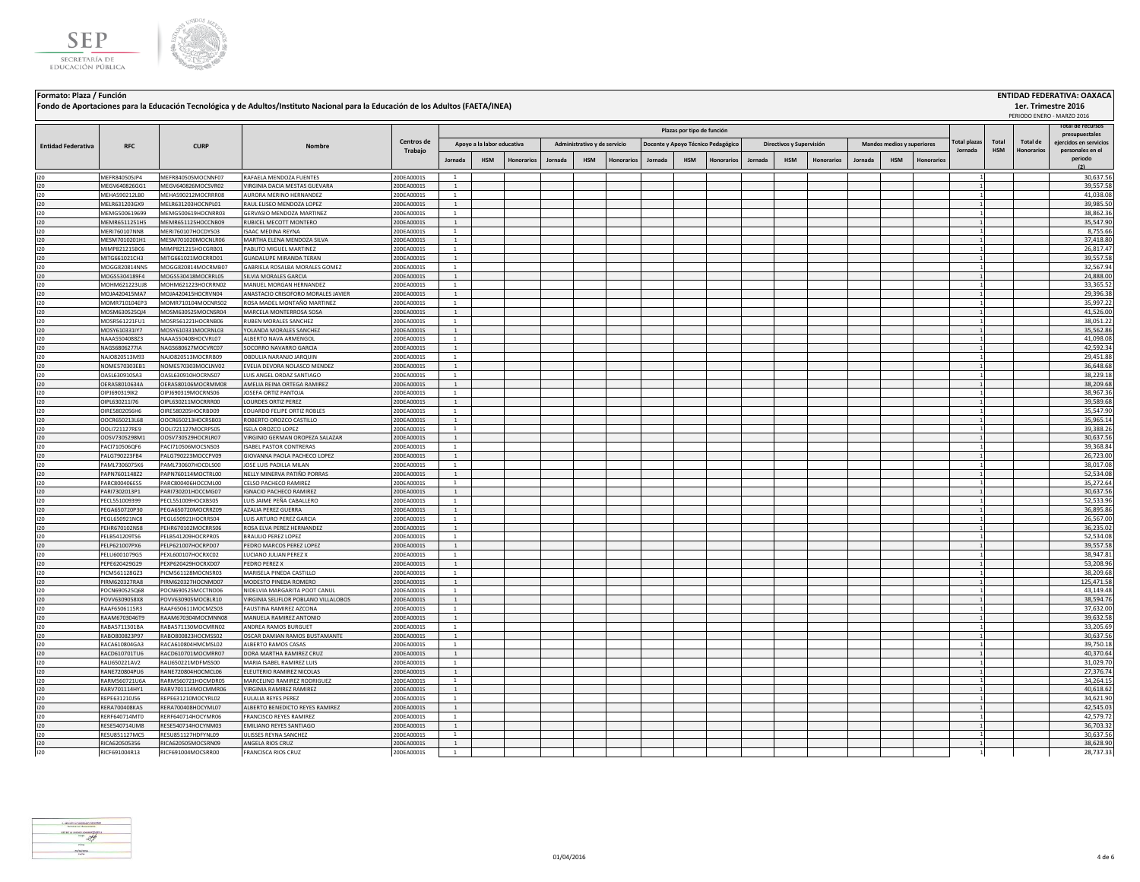



## **Jornada HSM Honorarios Jornada HSM Honorarios Jornada HSM Honorarios Jornada HSM Honorarios Jornada HSM Honorarios Total HSM Total de Honorarios Administrativo y de servicio Docente y Apoyo Técnico Pedagógico Directivos y Supervisión Mandos medios y superiores Plazas por tipo de función Total plazas Jornada RFC CURP Nombre Entidad Federativa RFC CURP CURP CENTROS <b>CENTROS CONS Trabajo Total de recursos presupuestales ejercidos en servicios personales en el periodo (2) Apoyo a la labor educativa** I20 MEFR840505JP4 MEFR840505MOCNNF07 RAFAELA MENDOZA FUENTES 20DEA0001S 1 1 30,637.56 I20 MEGV640826GG1 MEGV640826MOCSVR02 VIRGINIA DACIA MESTAS GUEVARA 200EA0001S 1 2 39,557.58 I20 MEHA590212LB0 MEHA590212MOCRRR08 AURORA MERINO HERNANDEZ 20DEA0001S 1 | | | | | | | | | | | | | | | | 1,038.08 I20 MELR631203GX9 MELR631203HOCNPL01 RAULELISEO.MENDOZALOPEZ 20DEA0001S 1 2 39,985.50 20DEA0001S 20DEA0001S 20 I20 MEMG500619699 MEMG500619HOCNRR03 GERVASIO MENDOZA MARTINEZ 20DEA0001S 1 1 38,862.36 I20 MEMR6511251H5 MEMR651125HDCCNB09 RUBICELMECOTTMONTERO 20DEA0001S 1 1 3 35,547.90 20DEA0001S 20DEA0001S 20DEA0001S 20DEA00015 2 20DEA00015 20DEA00015 20DEA00015 20DEA00015 20DEA00015 20DEA00015 2 2 2 2 2 2 2 2 2 2 2 2 2 I20 MERI760107NN8 MERI760107HOCDYS03 ISAAC MEDINA REYNA 20DEA0001S 1 1 8,755.66 I20 MESM7010201H1 MESM701020MOCNLR06 MARTHA ELENA MENDOZA SILVA 20DEA0001S 1 1 37,418.80 I20 MIMP821215BC6 MIMP821215HOCGRB01 PABLITO.MIGUEL.MARTINEZ 20DEA0001S 1 1 1 1 2 20 20 20 20 20 20 20 20 20 2 I20 MITG661021CH3 MITG661021MOCRRD01 GUADALUPE\_MIRANDATERAN 2000EA0001S 1 2 3000EA0001S 1 2 39,557.58 I20 MOGG820814NN5 MOGG820814MOCRMB07 GABRIELA ROSALBA MORALES GOMEZ 20DEA0001S 1 1 32,567.94 I20 MOGS5304189F4 MOGS530418MOCRRL05 SILVIAMORALES GARCIA 20DEA0001S 1 2 2001 20DEA0001S 20DEA0001S 20PH 2 24,888.00 I20 MOHM621223UJ8 MOHM621223HOCRRN02 MANUEL MORGAN HERNANDEZ 20DEA0001S 1 2 33,365.52 20DEA0001S 1 3 33,365.52 I20 MOJA420415MA7 MOJA420415HOCRVN04 ANASTACIO CRISOFORO MORALES JAVIER 20DEA0001S 1 1 29,396.38 I20 MOMR710104EP3 MOMR710104MOCNRS02 ROSA MADEL MONTAÑO MARTINEZ 20DEA0001S 1 1 35,997.22 I20 MOSM630525QJ4 MOSM630525MOCNSR04 MARCELA MONTERROSA SOSA 20DEA0001S 1 1 41,526.00 I20 MOSR561221FU1 MOSR561221HOCRNB06 RUBEN MORALES SANCHEZ 20DEA0001S 1 2 3000 2000 2000 2000 2000 3 38,051.22 I20 MOSY610331IY7 MOSY610331MOCRNL03 YOLANDA MORALES SANCHEZ 20DEA0001S 1 1 35,562.86 I20 NAAA5504088Z3 NAAA550408HOCVRL07 ALBERTO NAVA ARMENGOL 20DEA0001S 1 1 41,098.08 I20 NAGS6806277IA NAGS680627MOCVRC07 SOCORRO NAVARRO GARCIA 20DEA0001S 1 1 42,592.34 I20 NAJO820513M93 NAJO820513MOCRRB09 OBDULIA NARANJO JARQUIN 20DEA0001S 1 1 29,451.88 I20 NOME570303EB1 NOME570303MOCLNV02 EVELIA.DEVORA.NOLASCO.MENDEZ 20DEA0001S 1 | | | | | | | | | | | | | | | | | 36,648.68 I20 OASL630910SA3 OASL630910HOCRNS07 LUIS ANGEL ORDAZ SANTIAGO 20DEA0001S 1 1 38,229.18 I20 OERA58010634A OERA580106MOCRMM08 AMELIA REINA ORTEGA RAMIREZ 20DEA0001S 1 1 38,209.68 I20 OIPJ690319IK2 OIPJ690319MOCRNS06 JOSEFA ORTIZ PANTOJA 20DEA0001S 1 1 38,967.36 I20 OIPL630211I76 OIPL630211MOCRRR00 LOURDES ORTIZ PEREZ 20DEA0001S 1 1 39,589.68 I20 OIRE5802056H6 OIRE580205HOCRBD09 EDUARDO FELIPE ORTIZ ROBLES 20DEA0001S 1 1 35,547.90 I20 OOCR650213L68 OOCR650213HOCRSB03 ROBERTO OROZCO CASTILLO 20DEA0001S 1 1 35,965.14 I20 OOLI721127RE9 OOLI721127MOCRPS05 ISELA OROZCO LOPEZ 20DEA0001S 1 1 39,388.26 I20 OOSV7305298M1 OOSV730529HOCRLR07 VIRGINIO GERMAN OROPEZA SALAZAR 20DEA0001S 1 1 30,637.56 I20 PACI710506QF6 PACI710506MOCSNS03 |ISABELPASTORCONTRERAS 20DEA0001S 1 | | | | | | | | | | | | | | | | | 39,368.84 I20 PALG790223FB4 PALG790223MOCCPV09 (GIOVANNA PAOLA PACHECO LOPEZ 20DEA0001S 1 | | | | | | | | | | | | | 26,723.00 I20 PAML7306075K6 PAML730607HOCDLS00 JJOSELUIS PADILLA MILAN 20DEA0001S 1 | | | | | | | | | | | | | | | | 38,017.08 I20 PAPN7601148Z2 PAPN760114MOCTRL00 NELLY MINERVA PATIÑO PORRAS 20DEA0001S 1 1 52,534.08 I20 PARC800406ES5 PARC800406HOCCML00 CELSO PACHECO RAMIREZ 20DEA0001S 1 2 35,272.64 I20 PARI7302013P1 PARI730201HOCCMG07 |IGNACIO PACHECO RAMIREZ 20DEA0001S | 1 | | | | | | | | | | | | | | | | 30,637.56 I20 PECL551009399 PECL551009HOCXBS05 LUISJAIME PEÑA CABALLERO 20DEA0001S 1 1 1 1 1 1 1 1 1 1 1 1 1 1 1 1 52,533.96 I20 PEGA650720P30 PEGA650720MOCRRZ09 |AZALIA.PEREZ GUERRA 2000 200EA0001S | 1 | | | | | | | | | | | | | | | | 36,895.86 I20 PEGL650921NC8 PEGL650921HOCRRS04 LUIS ARTURO PEREZ GARCIA 20DEA0001S 1 | | | | | | | | | | | | | | | | | 26,567.00 I20 PEHR670102NS8 PEHR670102MOCRRS06 ROSA ELVA PEREZ HERNANDEZ 20DEA0001S 1 1 3 36,235.02 20DEA0001S 1 36,235.02 I20 PELB541209TS6 PELB541209HOCRPR05 BRAULIO PEREZ LOPEZ 20DEA 20DEA0001S 1 | | | | | | | | | | | | | | | | 52,534.08 I20 PELP621007PX6 PELP621007HOCRPD07 PEDRO MARCOS PEREZ LOPEZ 20DEA0001S 1 2 39,557.58 I20 PELU6001079G5 PEXL600107HOCRXC02 LUCIANO JULIAN PEREZ X 20DEA0001S 1 1 38,947.81 I20 PEPE620429G29 PEXP620429HOCRXD07 PEDRO PEREZ X 20DEA0001S 1 1 53,208.96 I20 PICM561128GZ3 PICM561128MOCNSR03 MARISELA PINEDA CASTILLO 20DEA0001S 1 1 38,209.68 I20 PIRM620327RA8 PIRM620327HOCNMD07 MODESTO PINEDA ROMERO 20DEA0001S 1 1 125,471.58 I20 POCN690525Q68 POCN690525MCCTND06 NIDELVIA MARGARITA POOT CANUL 20DEA0001S 1 1 43,149.48 I20 POVV6309058X8 POVV630905MOCBLR10 VIRGINIA SELIFLOR POBLANO VILLALOBOS 20DEA0001S 20DEA0001S 1 1 3 39,594.76 I20 RAAF6506115R3 RAAF650611MOCMZS03 |FAUSTINA RAMIREZ AZCONA 200EA0001S 1 | | | | | | | | | | | | | | | | | 37,632.00 I20 RAAM6703046T9 RAAM670304MOCMNN08 MANUELA RAMIREZ ANTONIO 20DEA0001S 1 1 1 3 39,632.58 I20 RABA5711301BA RABA571130MOCMRN02 ANDREA RAMOS BURGUET 20DEA0001S 1 1 33,205.69 I20 RABO800823P97 RABO800823HOCMSS02 OSCAR DAMIAN RAMOS BUSTAMANTE 20DEA0001S 1 1 30,637.56 I20 RACA610804GA3 RACA610804HMCMSL02 ALBERTO RAMOS CASAS 20DEA0001S 1 2 39,750.18 20DEA0001S 1 2 39,750.18 I20 RACD610701TU6 RACD610701MOCMRR07 DORA MARTHA RAMIREZ CRUZ 20DEA0001S 1 1 40,370.64 I20 RALI650221AV2 RALI650221MDFMSS00 |MARIA ISABEL RAMIREZ LUIS 20DEA0001S 1 | | | | | | | | | | | | | | | | 31,029.70 I20 RANE720804PU6 RANE720804HOCMCL06 ELEUTERIO.RAMIREZ.NICOLAS 20DEA0001S 1 | | | | | | | | | | | | | | | | 27,376.74 I20 RARM560721U6A RARM560721HOCMDR05 MARCELINO.RAMIREZ.RODRIGUEZ 20DEA0001S 1 2 34,264.15 20DEA0001S 20DEA0001S 20DEA0001S 20DEA00015 20DEA00015 20DEA00015 20DEA00015 20DEA00015 20DEA00015 20DEA00015 20DEA00015 20DEA00015 I20 RARV701114HY1 RARV701114MOCMMR06 VIRGINIA RAMIREZ 20DEA0001S 1 2 20DEA0001S 1 2 20DEA0001S 20DEA0001S 20DEA0001S 20DEA0001S 20DEA00015 20DEA00015 20DEA00015 20DEA00015 20DEA00015 20DEA00015 20DEA00015 20DEA00015 20DEA0 I20 REPE631210J56 REPE631210MOCYRL02 EULALIA REYES PEREZ 20DEA0001S 1 1 34,621.90 I20 RERA700408KA5 RERA700408HOCYML07 ALBERTO BENEDICTO REYES RAMIREZ 20DEA0001S 1 1 42,545.03 I20 RERF640714MT0 RERF640714HOCYMR06 FRANCISCO REYES RAMIREZ 20DEA0001S 1 1 42,579.72 I20 RESE540714UM8 RESE540714HOCYNM03 EMILIANO REYES SANTIAGO 20DEA0001S 1 1 36,703.32 I20 RESU851127MC5 RESU851127HDFYNL09 ULISSES<code>REYNA SANCHEZ 20DEA0001S 1 |</sup> | | | | | | | | | | | | | | | | 30,637.56</code> I20 RICA620505356 RICA620505MOCSRN09 ANGELA RIOS CRUZ 20DEA0001S 1 1 38,628.90 I20 RICF691004R13 RICF691004MOCSRR00 FRANCISCA RIOS CRUZ 20DEA0001S 1 1 1 1 1 1 1 1 1 1 200 1 28,737.33



**Formato: Plaza / Función ENTIDAD FEDERATIVA: OAXACA**

**1er. Trimestre 2016**

PERIODO ENERO - MARZO 2016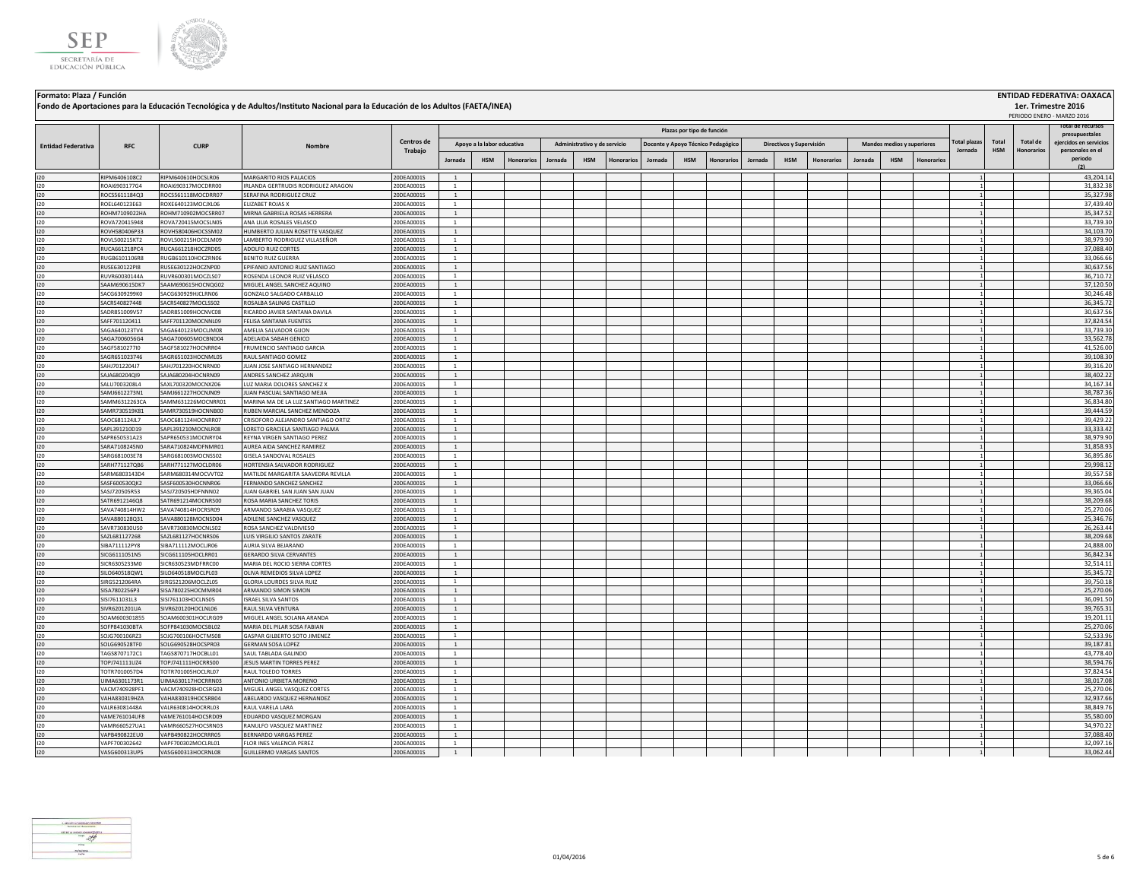



## **Jornada HSM Honorarios Jornada HSM Honorarios Jornada HSM Honorarios Jornada HSM Honorarios Jornada HSM Honorarios Total HSM Total de Honorarios Administrativo y de servicio Docente y Apoyo Técnico Pedagógico Directivos y Supervisión Mandos medios y superiores Plazas por tipo de función Total plazas Jornada** PERIODO ENERO - MARZO 2016 **RFC CURP Nombre Entidad Federativa RFC CURP CURP CENTROS <b>CENTROS CONS Trabajo Total de recursos presupuestales ejercidos en servicios personales en el periodo (2) Apoyo a la labor educativa** I20 RIPM6406108C2 RIPM640610HOCSLR06 MARGARITO RIOS PALACIOS 20DEA0001S 1 1 43,204.14 I20 ROAI6903177G4 ROAI690317MOCDRR00 IRLANDA GERTRUDIS RODRIGUEZ ARAGON 20DEA0001S 1 1 31,832.38 I20 ROCS5611184Q3 ROCS561118MOCDRR07 SERAFINA RODRIGUEZ CRUZ 2002EA0001S 1 | | | | | | | | | | | | | | | | | 35,327.98 I20 ROEL640123E63 ROXE640123MOCJXL06 ELIZABET ROJAS X 20DEA0001S 1 1 37,439.40 I20 ROHM7109022HA ROHM710902MOCSRR07 MIRNAGABRIELAROSASHERRERA 200EA0001S 1 2 35,347.52 20DEA0001S 1 3 35,347.52 I20 ROVA720415948 ROVA720415MOCSLN05 ANA LILIA ROSALES VELASCO 20DEA0001S 1 1 33,739.30 I20 ROVH580406P33 ROVH580406HOCSSM02 HUMBERTO.JULIAN ROSETTE VASQUEZ 20DEA0001S 1 2 34,103.70 PHO 20DEA0001S 20 I20 ROVL500215KT2 ROVL500215HOCDLM09 LAMBERTO RODRIGUEZ VILLASEÑOR 20DEA0001S 1 1 38,979.90 I20 RUCA661218PC4 RUCA661218HOCZRD05 ADOLFO RUIZ CORTES 20DEA0001S 1 1 37,088.40 I20 RUGB6101106R8 RUGB610110HOCZRN06 BENITO RUIZ GUERRA 20DEA0001S 1 | | | | | | | | | | | | | | | | | 33,066.66 I20 RUSE630122PI8 RUSE630122HOCZNP00 [EPIFANIO ANTONIO RUIZ SANTIAGO 200EA0001S 1 1 3 30,637.56 . 20DEA0001S 1 3 30,637.56 I20 RUVR60030144A RUVR600301MOCZLS07 ROSENDALEONOR RUIZ VELASCO 20DEA0001S 1 1 1 1 3 36,710.72 I20 SAAM690615DK7 SAAM690615HOCNQG02 MIGUEL ANGEL SANCHEZ AQUINO 20DEA0001S 1 1 37,120.50 I20 SACG6309299K0 SACG630929HJCLRN06 GONZALO SALGADO CARBALLO 20DEA0001S 1 1 30,246.48 I20 SACR540827448 SACR540827MOCLSS02 ROSALBA SALINAS CASTILLO 20DEA0001S 1 1 36,345.72 I20 SADR851009V57 SADR851009HOCNVC08 RICARDO JAVIER SANTANA DAVILA 20DEA0001S 1 | | | | | | | | | | | | | | | | | 30,637.56 I20 SAFF701120411 SAFF701120MOCNNL09 FELISA.SANTANA.FUENTES 20DEA0001S 1 | | | | | | | | | | | | | | | | 37,824.54 I20 SAGA640123TV4 SAGA640123MOCLJM08 AMELIA SALVADOR GIJON 20DEA0001S 1 1 33,739.30 I20 SAGA7006056G4 SAGA700605MOCBND04 ADELAIDA SABAH GENICO 20DEA0001S 1 2 3000000000 20DEA0001S 1 2 33,562.78 I20 SAGF5810277I0 SAGF581027HOCNRR04 FRUMENCIO SANTIAGO GARCIA 20DEA0001S 1 1 41,526.00 I20 SAGR651023746 SAGR651023HOCNML05 RAUL SANTIAGO GOMEZ 20DEA0001S 1 1 39,108.30 I20 SAHJ7012204J7 SAHJ701220HOCNRN00 JUAN JOSE SANTIAGO HERNANDEZ 20DEA0001S 1 1 39,316.20 I20 SAJA680204QI9 SAJA680204HOCNRN09 ANDRES SANCHEZ JARQUIN 20DEA0001S 1 1 38,402.22 I20 SALU7003208L4 SAXL700320MOCNXZ06 LUZ MARIA DOLORES SANCHEZ X 20DEA0001S 1 | | | | | | | | | | | | | | | | | I20 SAMJ6612273N1 SAMJ661227HOCNJN09 JUAN PASCUAL SANTIAGO MEJIA 20DEA0001S 1 1 38,787.36 I20 SAMM6312263CA SAMM631226MOCNRR01 MARINA MA DE LA LUZ SANTIAGO MARTINEZ 20DEA0001S 1 1 36,834.80 I20 SAMR730519K81 SAMR730519HOCNNB00 RUBEN MARCIALSANCHEZ MENDOZA 20DEA0001S 1 2 39,444.59 20DEA0001S 200 2005 I20 SAOC681124JL7 SAOC681124HOCNRR07 (CRISOFORO ALEJANDRO SANTIAGO ORTIZ 20DEA0001S 1 3 39,429.22 200 200 201 39,429.22 I20 SAPL391210D19 SAPL391210MOCNLR08 LORETO GRACIELA SANTIAGO PALMA 20DEA0001S 1 1 1 3 33.33.42 . 20DEA0001S 33,333.42 . 20DEA0001S 33,333.42 . 20DEA0001S . 20DEA0001S . 20DEA0001S . 20DEA0001S . 20DEA0001S . 20DEA0001S . I20 SAPR650531A23 SAPR650531MOCNRY04 REYNA VIRGEN SANTIAGO PEREZ 20DEA0001S 1 2 30.979.90 2000 2000 2000 2000 3 I20 SARA7108245N0 SARA710824MDFNMR01 AUREA AIDA SANCHEZ RAMIREZ 20DEA0001S 1 1 31,858.93 I20 SARG681003E78 SARG681003MOCNSS02 GISELA.SANDOVAL.ROSALES 20DEA0001S 1 | | | | | | | | | | | | | | | | | 36,895.86 I20 SARH771127QB6 SARH771127MOCLDR06 HORTENSIA SALVADOR RODRIGUEZ 20DEA0001S 1 1 29,998.12 I20 SARM6803143D4 SARM680314MOCVVT02 |MATILDE MARGARITA SAAVEDRA REVILLA | 20DEA0001S | 1 | 39. | 39,557.58 | 3 I20 SASF600530QK2 SASF600530HOCNNR06 FERNANDO SANCHEZ 25ANCHEZ 20DEA0001S 1 2 300EA0001S 20DEA0001S 20DEA0001S 20DEA0001S 20DEA00015 20DEA00015 20DEA00015 20DEA00015 20DEA00015 20DEA00015 20DEA00015 20DEA00015 20DEA00015 2 I20 SASJ720505R53 SASJ720505HDFNNN02 JUAN GABRIEL SAN JUAN SAN JUAN 20DEA0001S 1 1 39,365.04 I20 SATR6912146Q8 SATR691214MOCNRS00 ROSA MARIA SANCHEZ TORIS 20DEA0001S 1 1 38,209.68 I20 SAVA740814HW2 SAVA740814HOCRSR09 ARMANDO SARABIA VASQUEZ 20DEA0001S 1 1 25,270.06 I20 SAVA880128Q31 SAVA880128MOCNSD04 ADILENE SANCHEZ VASQUEZ 20DEA0001S 1 1 25,346.76 I20 SAVR730830US0 SAVR730830MOCNLS02 ROSA SANCHEZ VALDIVIESO 20DEA0001S 1 1 1 1 1 20DEA0001S 1 20DEA0001S 26,263.44 I20 SAZL681127268 SAZL681127HOCNRS06 LUIS VIRGILIO SANTOS ZARATE 20DEA0001S 1 1 38,209.68 I20 SIBA711112PY8 SIBA711112MOCLJR06 AURIA SILVA BEJARANO 20DEA0001S 1 1 24,888.00 I20 SICG6111051N5 SICG611105HOCLRR01 GERARDOSILVACERVANTES 20DEA0001S 1 2 36,842.34 20DEA0001S 20DEA0001S 20DEA0001S 20DEA0001S 20DEA00015 20DEA00015 20DEA00015 20DEA00015 20DEA00015 20DEA00015 20DEA00015 20DEA00015 20DEA0 I20 SICR6305233M0 SICR630523MDFRRC00 MARIA DEL ROCIO SIERRA CORTES 20DEA0001S 1 1 32,514.11 I20 SILO640518QW1 SILO640518MOCLPL03 OLIVA REMEDIOS SILVA LOPEZ 20DEA0001S 1 1 35,345.72 I20 SIRG5212064RA SIRG521206MOCLZL05 GLORIALOURDES SILVA RUIZ 20DEA0001S 1 2 39,750.18 20DEA0001S 20DEA0001S 20 I20 SISA7802256P3 SISA780225HOCMMR04 ARMANDOSIMON SIMON 20DEA0001S 1 2 20DEA0001S 1 2 2 200 200 200 200 200 20 I20 SISI7611031L3 SISI761103HOCLNS05 ISRAEL SILVA SANTOS 20DEA0001S 1 1 36,091.50 I20 SIVR6201201UA SIVR620120HOCLNL06 RAUL SILVA VENTURA 20DEA0001S 1 1 39,765.31 I20 SOAM600301855 SOAM600301HOCLRG09 MIGUEL ANGEL SOLANA ARANDA 20DEA0001S 1 1 19,201.11 I20 SOFP841030BTA SOFP841030MOCSBL02 MARIA DEL PILAR SOSA FABIAN 20DEA0001S 1 1 25,270.06 I20 SOJG700106RZ3 SOJG700106HOCTMS08 GASPAR GILBERTO SOTO JIMENEZ 20DEA0001S 1 1 52,533.96 I20 SOLG690528TF0 SOLG690528HOCSPR03 GERMAN SOSA LOPEZ 20DEA0001S 1 1 39,187.81 I20 TAGS8707172C1 TAGS870717HOCBLL01 SAUL TABLADA GALINDO 20DEA0001S 1 1 43,778.40 I20 TOPJ741111UZ4 TOPJ741111HOCRRS00 JESUS MARTIN TORRES PEREZ 20DEA0001S 1 1 38,594.76 I20 TOTR7010057D4 TOTR70100SHOCLRL07 |RAULTOLEDOTORRES 20DEA0001S 1 | | | | | | | | | | | | | | | 1 | 37,824.54 I20 UIMA6301173R1 UIMA630117HOCRRN03 ANTONIO URBIETA MORENO 20DEA0001S 1 1 38,017.08 I20 VACM740928PF1 VACM740928HOCSRG03 MIGUEL ANGEL VASQUEZ CORTES 20DEA0001S 1 1 25,270.06 I20 VAHA830319HZA VAHA830319HOCSRB04 ABELARDO VASQUEZ HERNANDEZ 20DEA0001S 1 1 32,937.66 I20 VALR63081448A VALR630814HOCRRL03 RAUL VARELA LARA 20DEA0001S 1 1 38,849.76 I20 VAME761014UF8 VAME761014HOCSRD09 EDUARDO VASQUEZ MORGAN 2000 20DEA0001S 1 1 1 3 35,580.00 20DEA0001S 20DEA0001S 20DEA0001S 20DEA0001S 20DEA0001S 20DEA0001S 20DEA00015 20DEA00015 20DEA00015 20DEA00015 20DEA00015 20DEA00 I20 VAMR660527UA1 VAMR660527HOCSRN03 RANULFO VASQUEZMARTINEZ 20DEA0001S 1 1 1 1 3 34,970.22 I20 VAPB490822EU0 VAPB490822HOCRRR05 BERNARDO VARGAS PEREZ 20DEA0001S 1 20DEA0001S 1 3 37,088.40 20DEA0001S 20 I20 VAPF700302642 VAPF700302MOCLRL01 FLOR INES VALENCIA PEREZ 20DEA0001S 1 1 32,097.16 I20 VASG600313UP5 VASG600313HOCRNL08 GUILLERMO VARGAS SANTOS 20DEA0001S 1 1 33,062.44



**Formato: Plaza / Función ENTIDAD FEDERATIVA: OAXACA**